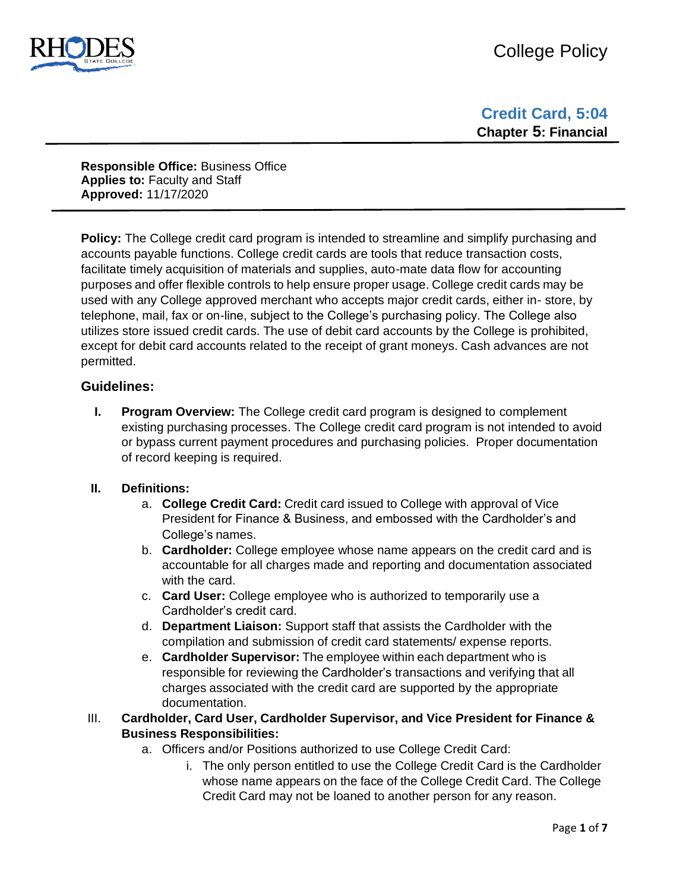

**Responsible Office:** Business Office **Applies to:** Faculty and Staff **Approved:** 11/17/2020

**Policy:** The College credit card program is intended to streamline and simplify purchasing and accounts payable functions. College credit cards are tools that reduce transaction costs, facilitate timely acquisition of materials and supplies, auto-mate data flow for accounting purposes and offer flexible controls to help ensure proper usage. College credit cards may be used with any College approved merchant who accepts major credit cards, either in- store, by telephone, mail, fax or on-line, subject to the College's purchasing policy. The College also utilizes store issued credit cards. The use of debit card accounts by the College is prohibited, except for debit card accounts related to the receipt of grant moneys. Cash advances are not permitted.

# **Guidelines:**

**I. Program Overview:** The College credit card program is designed to complement existing purchasing processes. The College credit card program is not intended to avoid or bypass current payment procedures and purchasing policies. Proper documentation of record keeping is required.

### **II. Definitions:**

- a. **College Credit Card:** Credit card issued to College with approval of Vice President for Finance & Business, and embossed with the Cardholder's and College's names.
- b. **Cardholder:** College employee whose name appears on the credit card and is accountable for all charges made and reporting and documentation associated with the card.
- c. **Card User:** College employee who is authorized to temporarily use a Cardholder's credit card.
- d. **Department Liaison:** Support staff that assists the Cardholder with the compilation and submission of credit card statements/ expense reports.
- e. **Cardholder Supervisor:** The employee within each department who is responsible for reviewing the Cardholder's transactions and verifying that all charges associated with the credit card are supported by the appropriate documentation.

### III. **Cardholder, Card User, Cardholder Supervisor, and Vice President for Finance & Business Responsibilities:**

- a. Officers and/or Positions authorized to use College Credit Card:
	- i. The only person entitled to use the College Credit Card is the Cardholder whose name appears on the face of the College Credit Card. The College Credit Card may not be loaned to another person for any reason.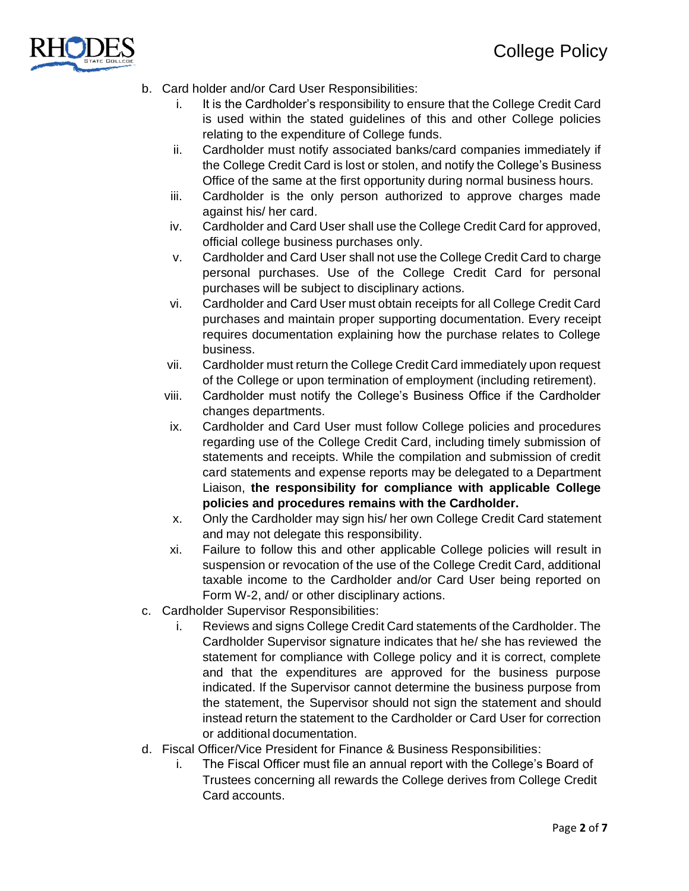

- b. Card holder and/or Card User Responsibilities:
	- i. It is the Cardholder's responsibility to ensure that the College Credit Card is used within the stated guidelines of this and other College policies relating to the expenditure of College funds.
	- ii. Cardholder must notify associated banks/card companies immediately if the College Credit Card is lost or stolen, and notify the College's Business Office of the same at the first opportunity during normal business hours.
	- iii. Cardholder is the only person authorized to approve charges made against his/ her card.
	- iv. Cardholder and Card User shall use the College Credit Card for approved, official college business purchases only.
	- v. Cardholder and Card User shall not use the College Credit Card to charge personal purchases. Use of the College Credit Card for personal purchases will be subject to disciplinary actions.
	- vi. Cardholder and Card User must obtain receipts for all College Credit Card purchases and maintain proper supporting documentation. Every receipt requires documentation explaining how the purchase relates to College business.
	- vii. Cardholder must return the College Credit Card immediately upon request of the College or upon termination of employment (including retirement).
	- viii. Cardholder must notify the College's Business Office if the Cardholder changes departments.
	- ix. Cardholder and Card User must follow College policies and procedures regarding use of the College Credit Card, including timely submission of statements and receipts. While the compilation and submission of credit card statements and expense reports may be delegated to a Department Liaison, **the responsibility for compliance with applicable College policies and procedures remains with the Cardholder.**
	- x. Only the Cardholder may sign his/ her own College Credit Card statement and may not delegate this responsibility.
	- xi. Failure to follow this and other applicable College policies will result in suspension or revocation of the use of the College Credit Card, additional taxable income to the Cardholder and/or Card User being reported on Form W-2, and/ or other disciplinary actions.
- c. Cardholder Supervisor Responsibilities:
	- i. Reviews and signs College Credit Card statements of the Cardholder. The Cardholder Supervisor signature indicates that he/ she has reviewed the statement for compliance with College policy and it is correct, complete and that the expenditures are approved for the business purpose indicated. If the Supervisor cannot determine the business purpose from the statement, the Supervisor should not sign the statement and should instead return the statement to the Cardholder or Card User for correction or additional documentation.
- d. Fiscal Officer/Vice President for Finance & Business Responsibilities:
	- i. The Fiscal Officer must file an annual report with the College's Board of Trustees concerning all rewards the College derives from College Credit Card accounts.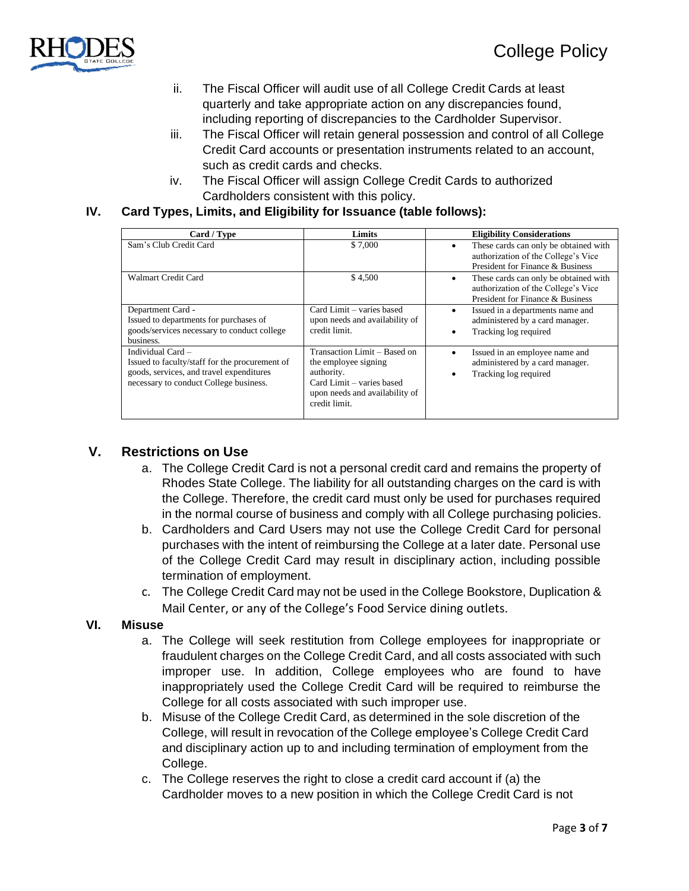

- ii. The Fiscal Officer will audit use of all College Credit Cards at least quarterly and take appropriate action on any discrepancies found, including reporting of discrepancies to the Cardholder Supervisor.
- iii. The Fiscal Officer will retain general possession and control of all College Credit Card accounts or presentation instruments related to an account, such as credit cards and checks.
- iv. The Fiscal Officer will assign College Credit Cards to authorized Cardholders consistent with this policy.

# **IV. Card Types, Limits, and Eligibility for Issuance (table follows):**

| Card / Type                                                                                                                                               | Limits                                                                                                                                             | <b>Eligibility Considerations</b>                                                                                     |  |  |
|-----------------------------------------------------------------------------------------------------------------------------------------------------------|----------------------------------------------------------------------------------------------------------------------------------------------------|-----------------------------------------------------------------------------------------------------------------------|--|--|
| Sam's Club Credit Card                                                                                                                                    | \$7,000                                                                                                                                            | These cards can only be obtained with<br>authorization of the College's Vice<br>President for Finance & Business      |  |  |
| Walmart Credit Card                                                                                                                                       | \$4,500                                                                                                                                            | These cards can only be obtained with<br>٠<br>authorization of the College's Vice<br>President for Finance & Business |  |  |
| Department Card -<br>Issued to departments for purchases of<br>goods/services necessary to conduct college<br>business.                                   | Card Limit – varies based<br>upon needs and availability of<br>credit limit.                                                                       | Issued in a departments name and<br>administered by a card manager.<br>Tracking log required                          |  |  |
| Individual Card -<br>Issued to faculty/staff for the procurement of<br>goods, services, and travel expenditures<br>necessary to conduct College business. | Transaction Limit – Based on<br>the employee signing<br>authority.<br>Card Limit – varies based<br>upon needs and availability of<br>credit limit. | Issued in an employee name and<br>administered by a card manager.<br>Tracking log required                            |  |  |

# **V. Restrictions on Use**

- a. The College Credit Card is not a personal credit card and remains the property of Rhodes State College. The liability for all outstanding charges on the card is with the College. Therefore, the credit card must only be used for purchases required in the normal course of business and comply with all College purchasing policies.
- b. Cardholders and Card Users may not use the College Credit Card for personal purchases with the intent of reimbursing the College at a later date. Personal use of the College Credit Card may result in disciplinary action, including possible termination of employment.
- c. The College Credit Card may not be used in the College Bookstore, Duplication & Mail Center, or any of the College's Food Service dining outlets.

### **VI. Misuse**

- a. The College will seek restitution from College employees for inappropriate or fraudulent charges on the College Credit Card, and all costs associated with such improper use. In addition, College employees who are found to have inappropriately used the College Credit Card will be required to reimburse the College for all costs associated with such improper use.
- b. Misuse of the College Credit Card, as determined in the sole discretion of the College, will result in revocation of the College employee's College Credit Card and disciplinary action up to and including termination of employment from the College.
- c. The College reserves the right to close a credit card account if (a) the Cardholder moves to a new position in which the College Credit Card is not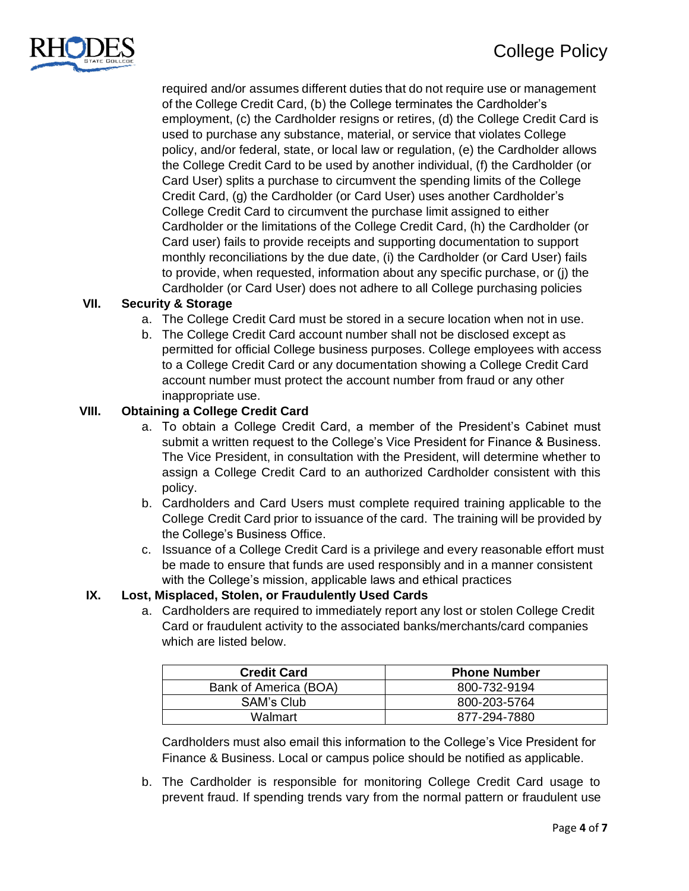

required and/or assumes different duties that do not require use or management of the College Credit Card, (b) the College terminates the Cardholder's employment, (c) the Cardholder resigns or retires, (d) the College Credit Card is used to purchase any substance, material, or service that violates College policy, and/or federal, state, or local law or regulation, (e) the Cardholder allows the College Credit Card to be used by another individual, (f) the Cardholder (or Card User) splits a purchase to circumvent the spending limits of the College Credit Card, (g) the Cardholder (or Card User) uses another Cardholder's College Credit Card to circumvent the purchase limit assigned to either Cardholder or the limitations of the College Credit Card, (h) the Cardholder (or Card user) fails to provide receipts and supporting documentation to support monthly reconciliations by the due date, (i) the Cardholder (or Card User) fails to provide, when requested, information about any specific purchase, or (j) the Cardholder (or Card User) does not adhere to all College purchasing policies

# **VII. Security & Storage**

- a. The College Credit Card must be stored in a secure location when not in use.
- b. The College Credit Card account number shall not be disclosed except as permitted for official College business purposes. College employees with access to a College Credit Card or any documentation showing a College Credit Card account number must protect the account number from fraud or any other inappropriate use.

### **VIII. Obtaining a College Credit Card**

- a. To obtain a College Credit Card, a member of the President's Cabinet must submit a written request to the College's Vice President for Finance & Business. The Vice President, in consultation with the President, will determine whether to assign a College Credit Card to an authorized Cardholder consistent with this policy.
- b. Cardholders and Card Users must complete required training applicable to the College Credit Card prior to issuance of the card. The training will be provided by the College's Business Office.
- c. Issuance of a College Credit Card is a privilege and every reasonable effort must be made to ensure that funds are used responsibly and in a manner consistent with the College's mission, applicable laws and ethical practices

#### **IX. Lost, Misplaced, Stolen, or Fraudulently Used Cards**

a. Cardholders are required to immediately report any lost or stolen College Credit Card or fraudulent activity to the associated banks/merchants/card companies which are listed below.

| <b>Credit Card</b>    | <b>Phone Number</b> |
|-----------------------|---------------------|
| Bank of America (BOA) | 800-732-9194        |
| SAM's Club            | 800-203-5764        |
| Walmart               | 877-294-7880        |

Cardholders must also email this information to the College's Vice President for Finance & Business. Local or campus police should be notified as applicable.

b. The Cardholder is responsible for monitoring College Credit Card usage to prevent fraud. If spending trends vary from the normal pattern or fraudulent use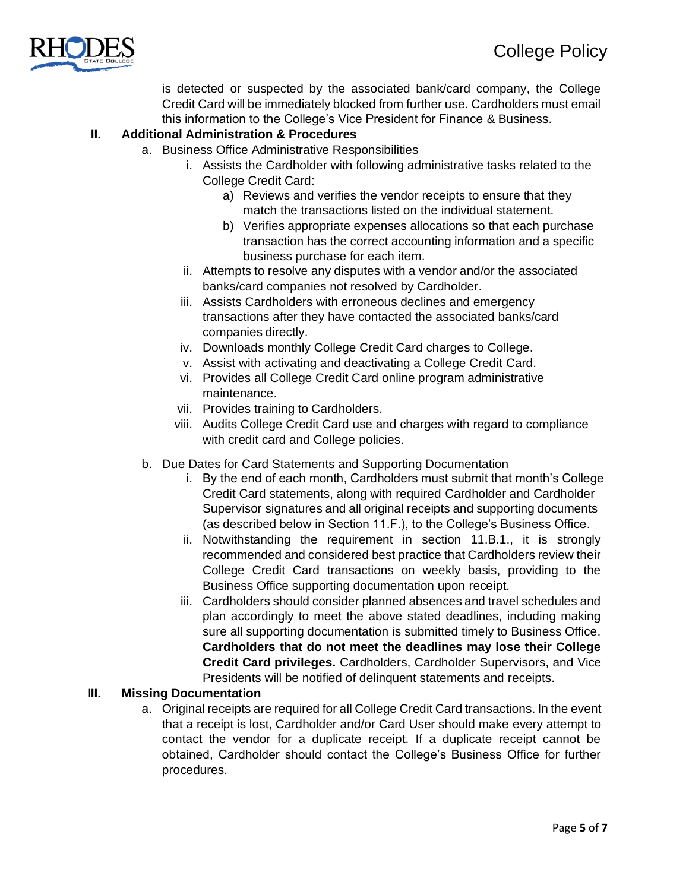

is detected or suspected by the associated bank/card company, the College Credit Card will be immediately blocked from further use. Cardholders must email this information to the College's Vice President for Finance & Business.

### **II. Additional Administration & Procedures**

- a. Business Office Administrative Responsibilities
	- i. Assists the Cardholder with following administrative tasks related to the College Credit Card:
		- a) Reviews and verifies the vendor receipts to ensure that they match the transactions listed on the individual statement.
		- b) Verifies appropriate expenses allocations so that each purchase transaction has the correct accounting information and a specific business purchase for each item.
	- ii. Attempts to resolve any disputes with a vendor and/or the associated banks/card companies not resolved by Cardholder.
	- iii. Assists Cardholders with erroneous declines and emergency transactions after they have contacted the associated banks/card companies directly.
	- iv. Downloads monthly College Credit Card charges to College.
	- v. Assist with activating and deactivating a College Credit Card.
	- vi. Provides all College Credit Card online program administrative maintenance.
	- vii. Provides training to Cardholders.
	- viii. Audits College Credit Card use and charges with regard to compliance with credit card and College policies.
- b. Due Dates for Card Statements and Supporting Documentation
	- i. By the end of each month, Cardholders must submit that month's College Credit Card statements, along with required Cardholder and Cardholder Supervisor signatures and all original receipts and supporting documents (as described below in Section 11.F.), to the College's Business Office.
	- ii. Notwithstanding the requirement in section 11.B.1., it is strongly recommended and considered best practice that Cardholders review their College Credit Card transactions on weekly basis, providing to the Business Office supporting documentation upon receipt.
	- iii. Cardholders should consider planned absences and travel schedules and plan accordingly to meet the above stated deadlines, including making sure all supporting documentation is submitted timely to Business Office. **Cardholders that do not meet the deadlines may lose their College Credit Card privileges.** Cardholders, Cardholder Supervisors, and Vice Presidents will be notified of delinquent statements and receipts.

### **III. Missing Documentation**

a. Original receipts are required for all College Credit Card transactions. In the event that a receipt is lost, Cardholder and/or Card User should make every attempt to contact the vendor for a duplicate receipt. If a duplicate receipt cannot be obtained, Cardholder should contact the College's Business Office for further procedures.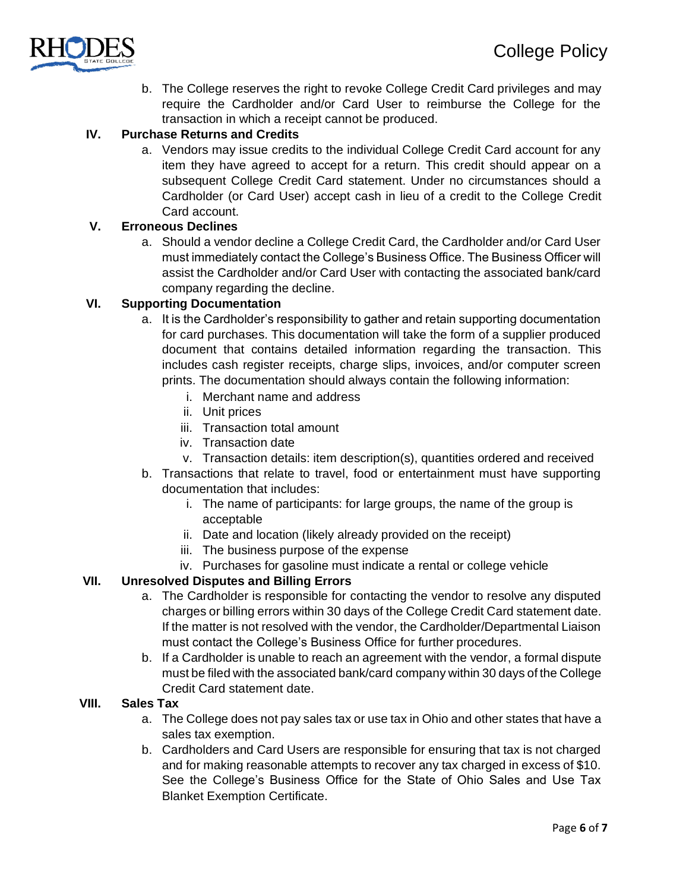

b. The College reserves the right to revoke College Credit Card privileges and may require the Cardholder and/or Card User to reimburse the College for the transaction in which a receipt cannot be produced.

# **IV. Purchase Returns and Credits**

a. Vendors may issue credits to the individual College Credit Card account for any item they have agreed to accept for a return. This credit should appear on a subsequent College Credit Card statement. Under no circumstances should a Cardholder (or Card User) accept cash in lieu of a credit to the College Credit Card account.

# **V. Erroneous Declines**

a. Should a vendor decline a College Credit Card, the Cardholder and/or Card User must immediately contact the College's Business Office. The Business Officer will assist the Cardholder and/or Card User with contacting the associated bank/card company regarding the decline.

# **VI. Supporting Documentation**

- a. It is the Cardholder's responsibility to gather and retain supporting documentation for card purchases. This documentation will take the form of a supplier produced document that contains detailed information regarding the transaction. This includes cash register receipts, charge slips, invoices, and/or computer screen prints. The documentation should always contain the following information:
	- i. Merchant name and address
	- ii. Unit prices
	- iii. Transaction total amount
	- iv. Transaction date
	- v. Transaction details: item description(s), quantities ordered and received
- b. Transactions that relate to travel, food or entertainment must have supporting documentation that includes:
	- i. The name of participants: for large groups, the name of the group is acceptable
	- ii. Date and location (likely already provided on the receipt)
	- iii. The business purpose of the expense
	- iv. Purchases for gasoline must indicate a rental or college vehicle

# **VII. Unresolved Disputes and Billing Errors**

- a. The Cardholder is responsible for contacting the vendor to resolve any disputed charges or billing errors within 30 days of the College Credit Card statement date. If the matter is not resolved with the vendor, the Cardholder/Departmental Liaison must contact the College's Business Office for further procedures.
- b. If a Cardholder is unable to reach an agreement with the vendor, a formal dispute must be filed with the associated bank/card company within 30 days of the College Credit Card statement date.

### **VIII. Sales Tax**

- a. The College does not pay sales tax or use tax in Ohio and other states that have a sales tax exemption.
- b. Cardholders and Card Users are responsible for ensuring that tax is not charged and for making reasonable attempts to recover any tax charged in excess of \$10. See the College's Business Office for the State of Ohio Sales and Use Tax Blanket Exemption Certificate.